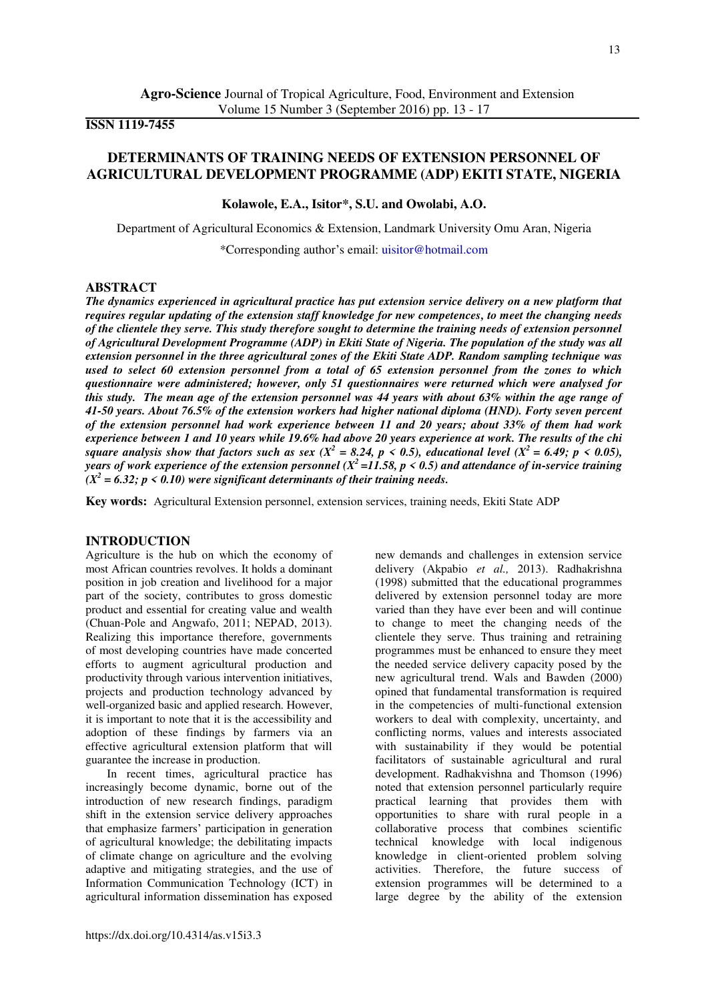# **ISSN 1119-7455**

# **DETERMINANTS OF TRAINING NEEDS OF EXTENSION PERSONNEL OF AGRICULTURAL DEVELOPMENT PROGRAMME (ADP) EKITI STATE, NIGERIA**

**Kolawole, E.A., Isitor\*, S.U. and Owolabi, A.O.** 

Department of Agricultural Economics & Extension, Landmark University Omu Aran, Nigeria \*Corresponding author's email: [uisitor@hotmail.com](mailto:uisitor@hotmail.com)

## **ABSTRACT**

*The dynamics experienced in agricultural practice has put extension service delivery on a new platform that requires regular updating of the extension staff knowledge for new competences, to meet the changing needs of the clientele they serve. This study therefore sought to determine the training needs of extension personnel of Agricultural Development Programme (ADP) in Ekiti State of Nigeria. The population of the study was all extension personnel in the three agricultural zones of the Ekiti State ADP. Random sampling technique was used to select 60 extension personnel from a total of 65 extension personnel from the zones to which questionnaire were administered; however, only 51 questionnaires were returned which were analysed for this study. The mean age of the extension personnel was 44 years with about 63% within the age range of 41-50 years. About 76.5% of the extension workers had higher national diploma (HND). Forty seven percent of the extension personnel had work experience between 11 and 20 years; about 33% of them had work experience between 1 and 10 years while 19.6% had above 20 years experience at work. The results of the chi square analysis show that factors such as sex (X<sup>2</sup> = 8.24, p < 0.5), educational level (X<sup>2</sup> = 6.49; p < 0.05), years of work experience of the extension personnel (X<sup>2</sup>=11.58, p < 0.5) and attendance of in-service training*   $(X^2 = 6.32; p < 0.10)$  were significant determinants of their training needs.

**Key words:** Agricultural Extension personnel, extension services, training needs, Ekiti State ADP

## **INTRODUCTION**

Agriculture is the hub on which the economy of most African countries revolves. It holds a dominant position in job creation and livelihood for a major part of the society, contributes to gross domestic product and essential for creating value and wealth (Chuan-Pole and Angwafo, 2011; NEPAD, 2013). Realizing this importance therefore, governments of most developing countries have made concerted efforts to augment agricultural production and productivity through various intervention initiatives, projects and production technology advanced by well-organized basic and applied research. However, it is important to note that it is the accessibility and adoption of these findings by farmers via an effective agricultural extension platform that will guarantee the increase in production.

In recent times, agricultural practice has increasingly become dynamic, borne out of the introduction of new research findings, paradigm shift in the extension service delivery approaches that emphasize farmers' participation in generation of agricultural knowledge; the debilitating impacts of climate change on agriculture and the evolving adaptive and mitigating strategies, and the use of Information Communication Technology (ICT) in agricultural information dissemination has exposed

new demands and challenges in extension service delivery (Akpabio *et al.,* 2013). Radhakrishna (1998) submitted that the educational programmes delivered by extension personnel today are more varied than they have ever been and will continue to change to meet the changing needs of the clientele they serve. Thus training and retraining programmes must be enhanced to ensure they meet the needed service delivery capacity posed by the new agricultural trend. Wals and Bawden (2000) opined that fundamental transformation is required in the competencies of multi-functional extension workers to deal with complexity, uncertainty, and conflicting norms, values and interests associated with sustainability if they would be potential facilitators of sustainable agricultural and rural development. Radhakvishna and Thomson (1996) noted that extension personnel particularly require practical learning that provides them with opportunities to share with rural people in a collaborative process that combines scientific technical knowledge with local indigenous knowledge in client-oriented problem solving activities. Therefore, the future success of extension programmes will be determined to a large degree by the ability of the extension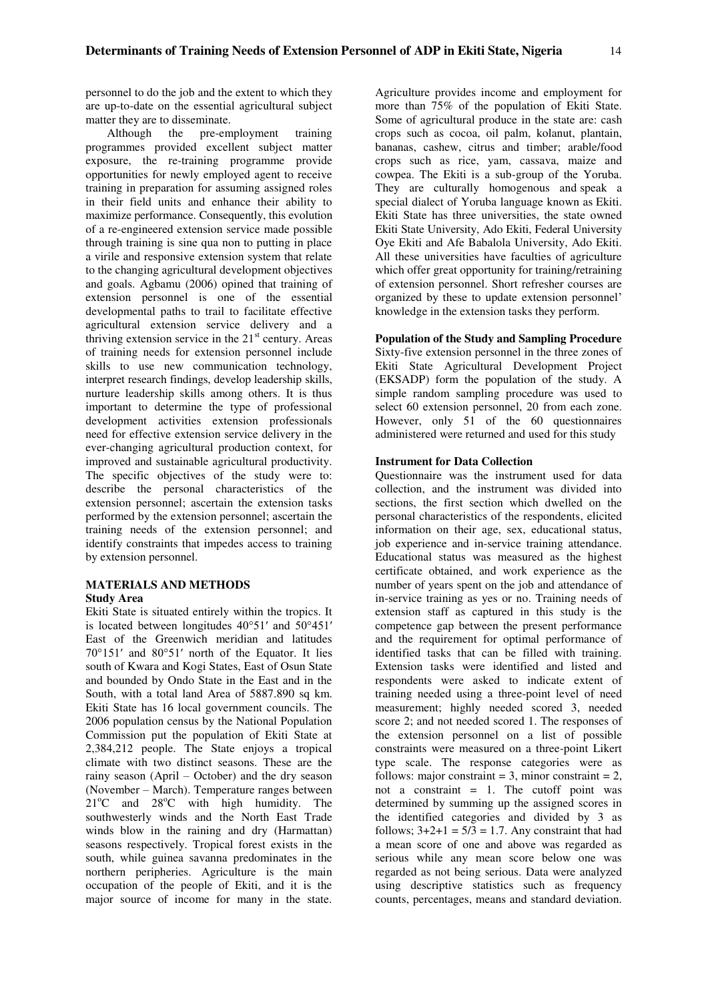personnel to do the job and the extent to which they are up-to-date on the essential agricultural subject matter they are to disseminate.

Although the pre-employment training programmes provided excellent subject matter exposure, the re-training programme provide opportunities for newly employed agent to receive training in preparation for assuming assigned roles in their field units and enhance their ability to maximize performance. Consequently, this evolution of a re-engineered extension service made possible through training is sine qua non to putting in place a virile and responsive extension system that relate to the changing agricultural development objectives and goals. Agbamu (2006) opined that training of extension personnel is one of the essential developmental paths to trail to facilitate effective agricultural extension service delivery and a thriving extension service in the  $21<sup>st</sup>$  century. Areas of training needs for extension personnel include skills to use new communication technology, interpret research findings, develop leadership skills, nurture leadership skills among others. It is thus important to determine the type of professional development activities extension professionals need for effective extension service delivery in the ever-changing agricultural production context, for improved and sustainable agricultural productivity. The specific objectives of the study were to: describe the personal characteristics of the extension personnel; ascertain the extension tasks performed by the extension personnel; ascertain the training needs of the extension personnel; and identify constraints that impedes access to training by extension personnel.

# **MATERIALS AND METHODS**

### **Study Area**

Ekiti State is situated entirely within the tropics. It is located between longitudes 40°51′ and 50°451′ East of the Greenwich meridian and latitudes 70°151′ and 80°51′ north of the Equator. It lies south of Kwara and Kogi States, East of Osun State and bounded by Ondo State in the East and in the South, with a total land Area of 5887.890 sq km. Ekiti State has 16 local government councils. The 2006 population census by the National Population Commission put the population of Ekiti State at 2,384,212 people. The State enjoys a tropical climate with two distinct seasons. These are the rainy season (April – October) and the dry season (November – March). Temperature ranges between  $21^{\circ}$ C and  $28^{\circ}$ C with high humidity. The southwesterly winds and the North East Trade winds blow in the raining and dry (Harmattan) seasons respectively. Tropical forest exists in the south, while guinea savanna predominates in the northern peripheries. Agriculture is the main occupation of the people of Ekiti, and it is the major source of income for many in the state.

Agriculture provides income and employment for more than 75% of the population of Ekiti State. Some of agricultural produce in the state are: cash crops such as cocoa, oil palm, kolanut, plantain, bananas, cashew, citrus and timber; arable/food crops such as rice, yam, cassava, maize and cowpea. The Ekiti is a sub-group of the Yoruba. They are culturally homogenous and speak a special dialect of Yoruba language known as Ekiti. Ekiti State has three universities, the state owned Ekiti State University, Ado Ekiti, Federal University Oye Ekiti and Afe Babalola University, Ado Ekiti. All these universities have faculties of agriculture which offer great opportunity for training/retraining of extension personnel. Short refresher courses are organized by these to update extension personnel' knowledge in the extension tasks they perform.

#### **Population of the Study and Sampling Procedure**

Sixty-five extension personnel in the three zones of Ekiti State Agricultural Development Project (EKSADP) form the population of the study. A simple random sampling procedure was used to select 60 extension personnel, 20 from each zone. However, only 51 of the 60 questionnaires administered were returned and used for this study

### **Instrument for Data Collection**

Questionnaire was the instrument used for data collection, and the instrument was divided into sections, the first section which dwelled on the personal characteristics of the respondents, elicited information on their age, sex, educational status, job experience and in-service training attendance. Educational status was measured as the highest certificate obtained, and work experience as the number of years spent on the job and attendance of in-service training as yes or no. Training needs of extension staff as captured in this study is the competence gap between the present performance and the requirement for optimal performance of identified tasks that can be filled with training. Extension tasks were identified and listed and respondents were asked to indicate extent of training needed using a three-point level of need measurement; highly needed scored 3, needed score 2; and not needed scored 1. The responses of the extension personnel on a list of possible constraints were measured on a three-point Likert type scale. The response categories were as follows: major constraint  $= 3$ , minor constraint  $= 2$ , not a constraint  $= 1$ . The cutoff point was determined by summing up the assigned scores in the identified categories and divided by 3 as follows;  $3+2+1 = 5/3 = 1.7$ . Any constraint that had a mean score of one and above was regarded as serious while any mean score below one was regarded as not being serious. Data were analyzed using descriptive statistics such as frequency counts, percentages, means and standard deviation.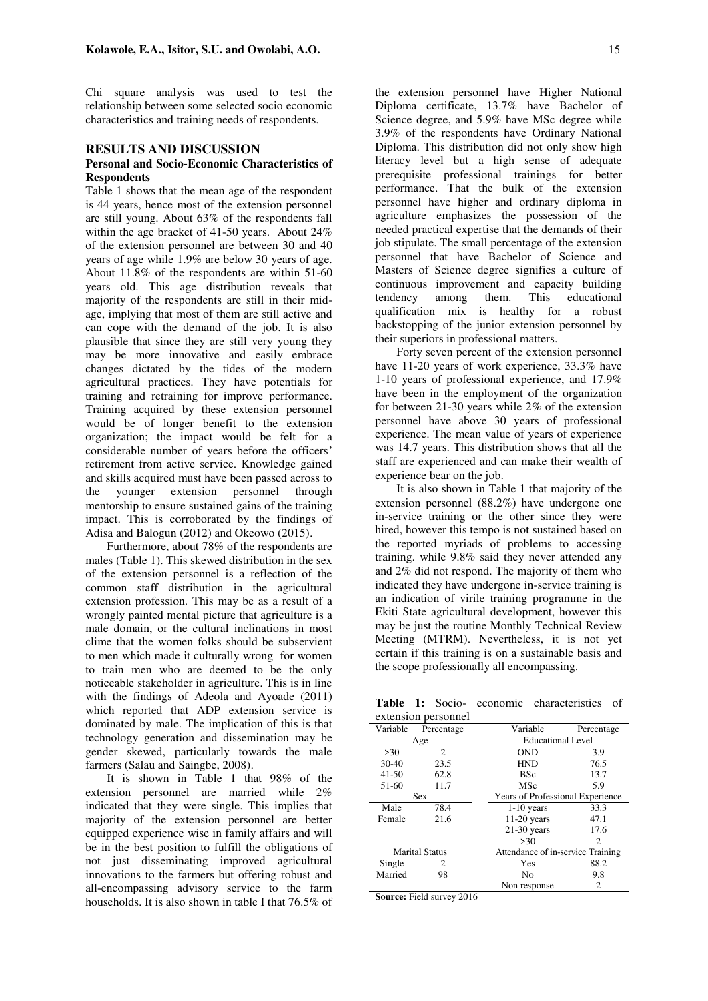Chi square analysis was used to test the relationship between some selected socio economic characteristics and training needs of respondents.

#### **RESULTS AND DISCUSSION**

### **Personal and Socio-Economic Characteristics of Respondents**

Table 1 shows that the mean age of the respondent is 44 years, hence most of the extension personnel are still young. About 63% of the respondents fall within the age bracket of 41-50 years. About 24% of the extension personnel are between 30 and 40 years of age while 1.9% are below 30 years of age. About 11.8% of the respondents are within 51-60 years old. This age distribution reveals that majority of the respondents are still in their midage, implying that most of them are still active and can cope with the demand of the job. It is also plausible that since they are still very young they may be more innovative and easily embrace changes dictated by the tides of the modern agricultural practices. They have potentials for training and retraining for improve performance. Training acquired by these extension personnel would be of longer benefit to the extension organization; the impact would be felt for a considerable number of years before the officers' retirement from active service. Knowledge gained and skills acquired must have been passed across to the younger extension personnel through mentorship to ensure sustained gains of the training impact. This is corroborated by the findings of Adisa and Balogun (2012) and Okeowo (2015).

Furthermore, about 78% of the respondents are males (Table 1). This skewed distribution in the sex of the extension personnel is a reflection of the common staff distribution in the agricultural extension profession. This may be as a result of a wrongly painted mental picture that agriculture is a male domain, or the cultural inclinations in most clime that the women folks should be subservient to men which made it culturally wrong for women to train men who are deemed to be the only noticeable stakeholder in agriculture. This is in line with the findings of Adeola and Ayoade (2011) which reported that ADP extension service is dominated by male. The implication of this is that technology generation and dissemination may be gender skewed, particularly towards the male farmers (Salau and Saingbe, 2008).

It is shown in Table 1 that 98% of the extension personnel are married while 2% indicated that they were single. This implies that majority of the extension personnel are better equipped experience wise in family affairs and will be in the best position to fulfill the obligations of not just disseminating improved agricultural innovations to the farmers but offering robust and all-encompassing advisory service to the farm households. It is also shown in table I that 76.5% of the extension personnel have Higher National Diploma certificate, 13.7% have Bachelor of Science degree, and 5.9% have MSc degree while 3.9% of the respondents have Ordinary National Diploma. This distribution did not only show high literacy level but a high sense of adequate prerequisite professional trainings for better performance. That the bulk of the extension personnel have higher and ordinary diploma in agriculture emphasizes the possession of the needed practical expertise that the demands of their job stipulate. The small percentage of the extension personnel that have Bachelor of Science and Masters of Science degree signifies a culture of continuous improvement and capacity building tendency among them. This educational qualification mix is healthy for a robust backstopping of the junior extension personnel by their superiors in professional matters.

Forty seven percent of the extension personnel have 11-20 years of work experience, 33.3% have 1-10 years of professional experience, and 17.9% have been in the employment of the organization for between 21-30 years while 2% of the extension personnel have above 30 years of professional experience. The mean value of years of experience was 14.7 years. This distribution shows that all the staff are experienced and can make their wealth of experience bear on the job.

It is also shown in Table 1 that majority of the extension personnel (88.2%) have undergone one in-service training or the other since they were hired, however this tempo is not sustained based on the reported myriads of problems to accessing training. while 9.8% said they never attended any and 2% did not respond. The majority of them who indicated they have undergone in-service training is an indication of virile training programme in the Ekiti State agricultural development, however this may be just the routine Monthly Technical Review Meeting (MTRM). Nevertheless, it is not yet certain if this training is on a sustainable basis and the scope professionally all encompassing.

**Table 1:** Socio- economic characteristics of extension personnel

| Variable              | Percentage     | Variable      | Percentage                              |  |  |
|-----------------------|----------------|---------------|-----------------------------------------|--|--|
| Age                   |                |               | <b>Educational Level</b>                |  |  |
| >30                   | 2              | <b>OND</b>    | 3.9                                     |  |  |
| $30 - 40$             | 23.5           | <b>HND</b>    | 76.5                                    |  |  |
| $41 - 50$             | 62.8           | <b>BSc</b>    | 13.7                                    |  |  |
| 51-60                 | 11.7           | MSc           | 5.9                                     |  |  |
| <b>Sex</b>            |                |               | <b>Years of Professional Experience</b> |  |  |
| Male                  | 78.4           | $1-10$ years  | 33.3                                    |  |  |
| Female                | 21.6           | $11-20$ years | 47.1                                    |  |  |
|                       |                | $21-30$ years | 17.6                                    |  |  |
|                       |                | >30           | 2                                       |  |  |
| <b>Marital Status</b> |                |               | Attendance of in-service Training       |  |  |
| Single                | $\mathfrak{D}$ | Yes           | 88.2                                    |  |  |
| Married               | 98             | No            | 9.8                                     |  |  |
|                       |                | Non response  | 2                                       |  |  |

**Source:** Field survey 2016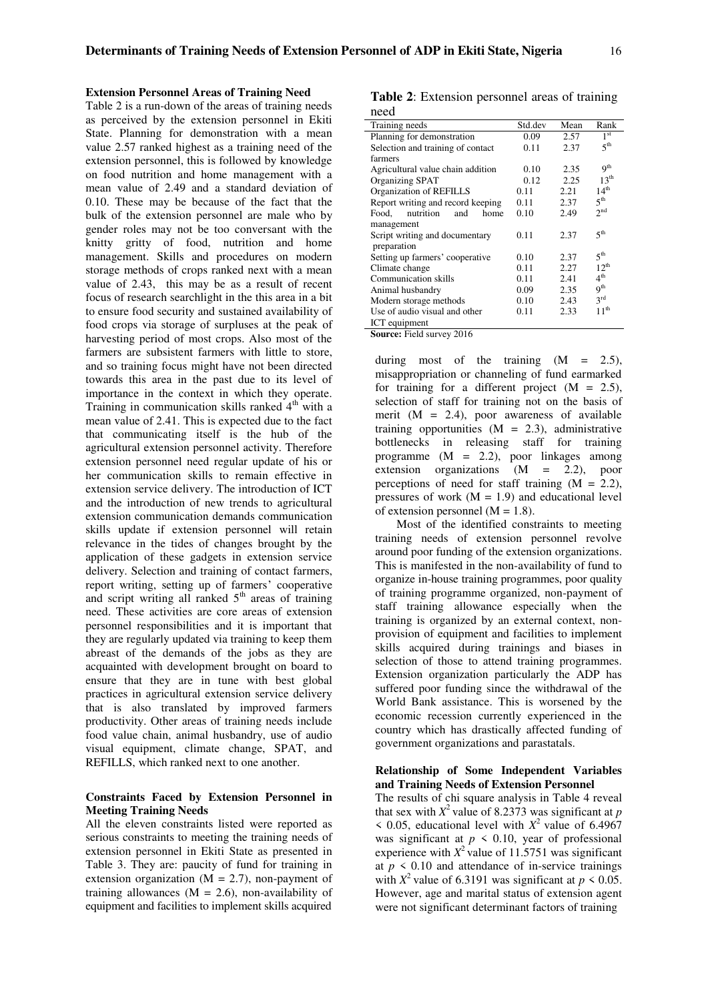# **Extension Personnel Areas of Training Need**

Table 2 is a run-down of the areas of training needs as perceived by the extension personnel in Ekiti State. Planning for demonstration with a mean value 2.57 ranked highest as a training need of the extension personnel, this is followed by knowledge on food nutrition and home management with a mean value of 2.49 and a standard deviation of 0.10. These may be because of the fact that the bulk of the extension personnel are male who by gender roles may not be too conversant with the knitty gritty of food, nutrition and home management. Skills and procedures on modern storage methods of crops ranked next with a mean value of 2.43, this may be as a result of recent focus of research searchlight in the this area in a bit to ensure food security and sustained availability of food crops via storage of surpluses at the peak of harvesting period of most crops. Also most of the farmers are subsistent farmers with little to store, and so training focus might have not been directed towards this area in the past due to its level of importance in the context in which they operate. Training in communication skills ranked  $4<sup>th</sup>$  with a mean value of 2.41. This is expected due to the fact that communicating itself is the hub of the agricultural extension personnel activity. Therefore extension personnel need regular update of his or her communication skills to remain effective in extension service delivery. The introduction of ICT and the introduction of new trends to agricultural extension communication demands communication skills update if extension personnel will retain relevance in the tides of changes brought by the application of these gadgets in extension service delivery. Selection and training of contact farmers, report writing, setting up of farmers' cooperative and script writing all ranked  $5<sup>th</sup>$  areas of training need. These activities are core areas of extension personnel responsibilities and it is important that they are regularly updated via training to keep them abreast of the demands of the jobs as they are acquainted with development brought on board to ensure that they are in tune with best global practices in agricultural extension service delivery that is also translated by improved farmers productivity. Other areas of training needs include food value chain, animal husbandry, use of audio visual equipment, climate change, SPAT, and REFILLS, which ranked next to one another.

#### **Constraints Faced by Extension Personnel in Meeting Training Needs**

All the eleven constraints listed were reported as serious constraints to meeting the training needs of extension personnel in Ekiti State as presented in Table 3. They are: paucity of fund for training in extension organization  $(M = 2.7)$ , non-payment of training allowances  $(M = 2.6)$ , non-availability of equipment and facilities to implement skills acquired

**Table 2**: Extension personnel areas of training need

| Training needs                    | Std.dev | Mean | Rank                     |
|-----------------------------------|---------|------|--------------------------|
| Planning for demonstration        | 0.09    | 2.57 | 1 <sup>st</sup>          |
| Selection and training of contact | 0.11    | 2.37 | 5 <sup>th</sup>          |
| farmers                           |         |      |                          |
| Agricultural value chain addition | 0.10    | 2.35 | 9 <sup>th</sup>          |
| Organizing SPAT                   | 0.12    | 2.25 | 13 <sup>th</sup>         |
| Organization of REFILLS           | 0.11    | 2.21 | 14 <sup>th</sup>         |
| Report writing and record keeping | 0.11    | 2.37 | 5 <sup>th</sup>          |
| nutrition<br>Food.<br>and<br>home | 0.10    | 2.49 | $2^{nd}$                 |
| management                        |         |      |                          |
| Script writing and documentary    | 0.11    | 2.37 | 5 <sup>th</sup>          |
| preparation                       |         |      |                          |
| Setting up farmers' cooperative   | 0.10    | 2.37 | 5 <sup>th</sup>          |
| Climate change                    | 0.11    | 2.27 | $12^{th}$                |
| Communication skills              | 0.11    | 2.41 | 4 <sup>th</sup>          |
| Animal husbandry                  | 0.09    | 2.35 | $\mathbf{Q}^{\text{th}}$ |
| Modern storage methods            | 0.10    | 2.43 | $3^{\text{rd}}$          |
| Use of audio visual and other     | 0.11    | 2.33 | 11 <sup>th</sup>         |
| ICT equipment                     |         |      |                          |

**Source:** Field survey 2016

during most of the training  $(M = 2.5)$ , misappropriation or channeling of fund earmarked for training for a different project  $(M = 2.5)$ , selection of staff for training not on the basis of merit  $(M = 2.4)$ , poor awareness of available training opportunities  $(M = 2.3)$ , administrative bottlenecks in releasing staff for training programme  $(M = 2.2)$ , poor linkages among extension organizations (M = 2.2), poor perceptions of need for staff training  $(M = 2.2)$ , pressures of work  $(M = 1.9)$  and educational level of extension personnel  $(M = 1.8)$ .

Most of the identified constraints to meeting training needs of extension personnel revolve around poor funding of the extension organizations. This is manifested in the non-availability of fund to organize in-house training programmes, poor quality of training programme organized, non-payment of staff training allowance especially when the training is organized by an external context, nonprovision of equipment and facilities to implement skills acquired during trainings and biases in selection of those to attend training programmes. Extension organization particularly the ADP has suffered poor funding since the withdrawal of the World Bank assistance. This is worsened by the economic recession currently experienced in the country which has drastically affected funding of government organizations and parastatals.

#### **Relationship of Some Independent Variables and Training Needs of Extension Personnel**

The results of chi square analysis in Table 4 reveal that sex with  $X^2$  value of 8.2373 was significant at *p*  $\leq$  0.05, educational level with  $X^2$  value of 6.4967 was significant at  $p \le 0.10$ , year of professional experience with  $X^2$  value of 11.5751 was significant at  $p \leq 0.10$  and attendance of in-service trainings with  $X^2$  value of 6.3191 was significant at  $p \le 0.05$ . However, age and marital status of extension agent were not significant determinant factors of training